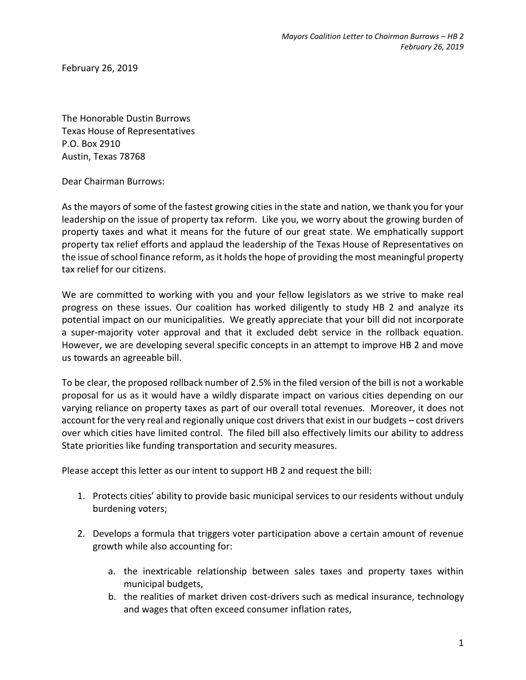February 26, 2019

The Honorable Dustin Burrows Texas House of Representatives P.O. Box 2910 Austin, Texas 78768

Dear Chairman Burrows:

As the mayors of some of the fastest growing cities in the state and nation, we thank you for your leadership on the issue of property tax reform. Like you, we worry about the growing burden of property taxes and what it means for the future of our great state. We emphatically support property tax relief efforts and applaud the leadership of the Texas House of Representatives on the issue of school finance reform, as it holds the hope of providing the most meaningful property tax relief for our citizens.

We are committed to working with you and your fellow legislators as we strive to make real progress on these issues. Our coalition has worked diligently to study HB 2 and analyze its potential impact on our municipalities. We greatly appreciate that your bill did not incorporate a super-majority voter approval and that it excluded debt service in the rollback equation. However, we are developing several specific concepts in an attempt to improve HB 2 and move us towards an agreeable bill.

To be clear, the proposed rollback number of 2.5% in the filed version of the bill is not a workable proposal for us as it would have a wildly disparate impact on various cities depending on our varying reliance on property taxes as part of our overall total revenues. Moreover, it does not account for the very real and regionally unique cost drivers that exist in our budgets – cost drivers over which cities have limited control. The filed bill also effectively limits our ability to address State priorities like funding transportation and security measures.

Please accept this letter as our intent to support HB 2 and request the bill:

- 1. Protects cities' ability to provide basic municipal services to our residents without unduly burdening voters;
- 2. Develops a formula that triggers voter participation above a certain amount of revenue growth while also accounting for:
	- a. the inextricable relationship between sales taxes and property taxes within municipal budgets,
	- b. the realities of market driven cost-drivers such as medical insurance, technology and wages that often exceed consumer inflation rates,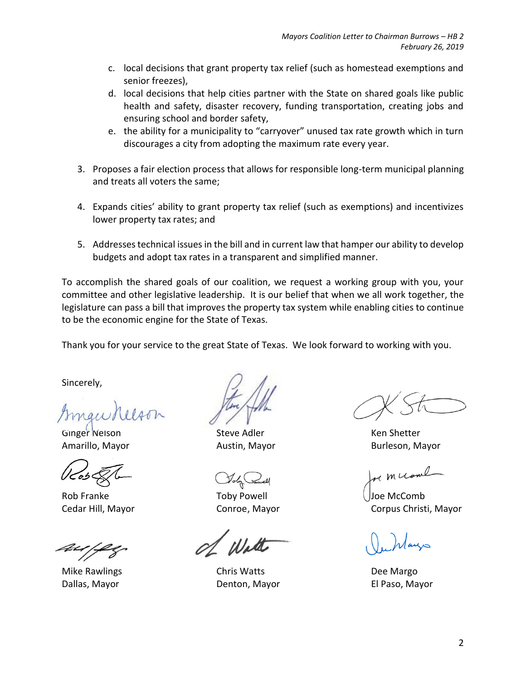- c. local decisions that grant property tax relief (such as homestead exemptions and senior freezes),
- d. local decisions that help cities partner with the State on shared goals like public health and safety, disaster recovery, funding transportation, creating jobs and ensuring school and border safety,
- e. the ability for a municipality to "carryover" unused tax rate growth which in turn discourages a city from adopting the maximum rate every year.
- 3. Proposes a fair election process that allows for responsible long-term municipal planning and treats all voters the same;
- 4. Expands cities' ability to grant property tax relief (such as exemptions) and incentivizes lower property tax rates; and
- 5. Addresses technical issues in the bill and in current law that hamper our ability to develop budgets and adopt tax rates in a transparent and simplified manner.

To accomplish the shared goals of our coalition, we request a working group with you, your committee and other legislative leadership. It is our belief that when we all work together, the legislature can pass a bill that improves the property tax system while enabling cities to continue to be the economic engine for the State of Texas.

Thank you for your service to the great State of Texas. We look forward to working with you.

Sincerely,

Ginger Nelson Steve Adler Steve Adler Steve Steve Steve Steve Steve Steve Steve Steve Steve Steve Steve Steve

Rob Franke Toby Powell Superintendial Comb

Mike Rawlings Chris Watts Dee Margo Dallas, Mayor Denton, Mayor El Paso, Mayor

Amarillo, Mayor **Austin, Mayor** Austin, Mayor **Burleson**, Mayor

rem ccome

Cedar Hill, Mayor Conroe, Mayor Corpus Christi, Mayor